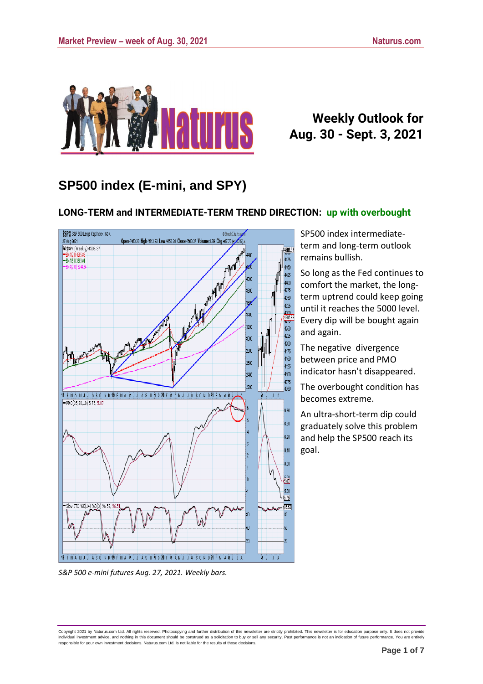

## **Weekly Outlook for Aug. 30 - Sept. 3, 2021**

## **SP500 index (E-mini, and SPY)**

### **LONG-TERM and INTERMEDIATE-TERM TREND DIRECTION: up with overbought**



SP500 index intermediateterm and long-term outlook remains bullish.

So long as the Fed continues to comfort the market, the longterm uptrend could keep going until it reaches the 5000 level. Every dip will be bought again and again.

The negative divergence between price and PMO indicator hasn't disappeared.

The overbought condition has becomes extreme.

An ultra-short-term dip could graduately solve this problem and help the SP500 reach its goal.

Copyright 2021 by Naturus.com Ltd. All rights reserved. Photocopying and further distribution of this newsletter are strictly prohibited. This newsletter is for education purpose only. It does not provide<br>individual invest

*S&P 500 e-mini futures Aug. 27, 2021. Weekly bars.*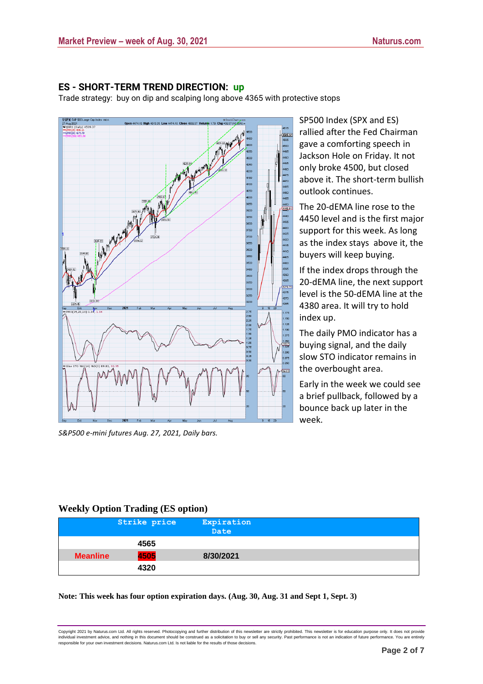#### **ES - SHORT-TERM TREND DIRECTION: up**

Trade strategy: buy on dip and scalping long above 4365 with protective stops



*S&P500 e-mini futures Aug. 27, 2021, Daily bars.*

SP500 Index (SPX and ES) rallied after the Fed Chairman gave a comforting speech in Jackson Hole on Friday. It not only broke 4500, but closed above it. The short-term bullish outlook continues.

The 20-dEMA line rose to the 4450 level and is the first major support for this week. As long as the index stays above it, the buyers will keep buying.

If the index drops through the 20-dEMA line, the next support level is the 50-dEMA line at the 4380 area. It will try to hold index up.

The daily PMO indicator has a buying signal, and the daily slow STO indicator remains in the overbought area.

Early in the week we could see a brief pullback, followed by a bounce back up later in the week.

### **Weekly Option Trading (ES option)**

|                 | Strike price | Expiration<br>Date |  |
|-----------------|--------------|--------------------|--|
|                 | 4565         |                    |  |
| <b>Meanline</b> | 4505         | 8/30/2021          |  |
|                 | 4320         |                    |  |

#### **Note: This week has four option expiration days. (Aug. 30, Aug. 31 and Sept 1, Sept. 3)**

Copyright 2021 by Naturus.com Ltd. All rights reserved. Photocopying and further distribution of this newsletter are strictly prohibited. This newsletter is for education purpose only. It does not provide individual investment advice, and nothing in this document should be construed as a solicitation to buy or sell any security. Past performance is not an indication of future performance. You are entirely<br>responsible for yo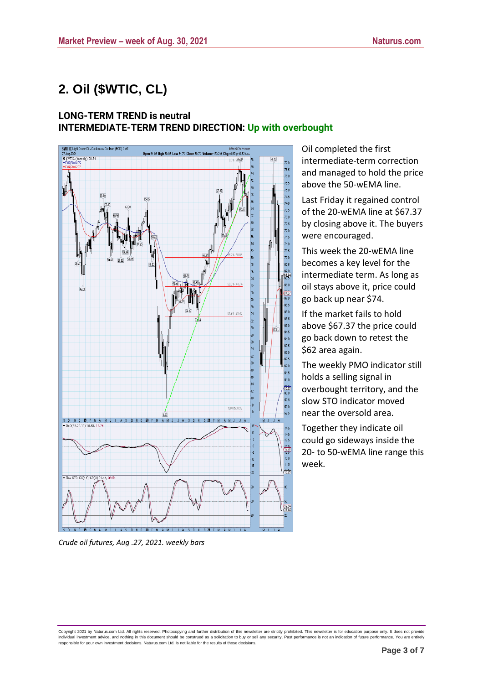# **2. Oil (\$WTIC, CL)**

### **LONG-TERM TREND is neutral INTERMEDIATE-TERM TREND DIRECTION: Up with overbought**



Oil completed the first intermediate-term correction and managed to hold the price above the 50-wEMA line.

Last Friday it regained control of the 20-wEMA line at \$67.37 by closing above it. The buyers were encouraged.

This week the 20-wEMA line becomes a key level for the intermediate term. As long as oil stays above it, price could go back up near \$74.

If the market fails to hold above \$67.37 the price could go back down to retest the \$62 area again.

The weekly PMO indicator still holds a selling signal in overbought territory, and the slow STO indicator moved near the oversold area.

Together they indicate oil could go sideways inside the 20- to 50-wEMA line range this week.

*Crude oil futures, Aug .27, 2021. weekly bars*

Copyright 2021 by Naturus.com Ltd. All rights reserved. Photocopying and further distribution of this newsletter are strictly prohibited. This newsletter is for education purpose only. It does not provide<br>individual invest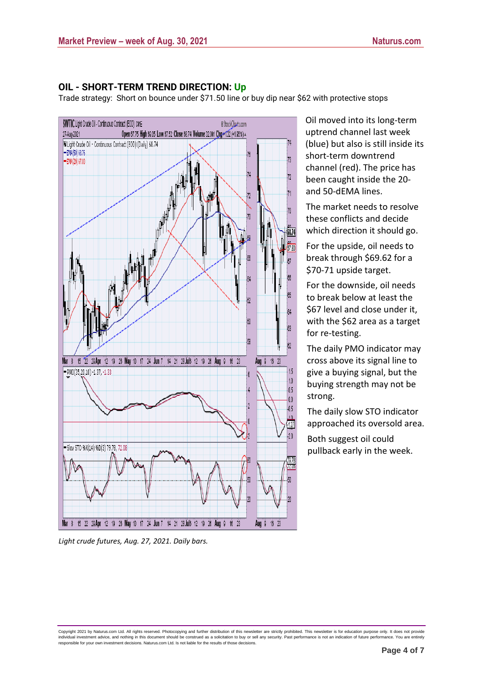#### **OIL - SHORT-TERM TREND DIRECTION: Up**

Trade strategy: Short on bounce under \$71.50 line or buy dip near \$62 with protective stops



*Light crude futures, Aug. 27, 2021. Daily bars.*

Oil moved into its long-term uptrend channel last week (blue) but also is still inside its short-term downtrend channel (red). The price has been caught inside the 20 and 50-dEMA lines.

The market needs to resolve these conflicts and decide which direction it should go.

For the upside, oil needs to break through \$69.62 for a \$70-71 upside target.

For the downside, oil needs to break below at least the \$67 level and close under it, with the \$62 area as a target for re-testing.

The daily PMO indicator may cross above its signal line to give a buying signal, but the buying strength may not be strong.

The daily slow STO indicator approached its oversold area.

Both suggest oil could pullback early in the week.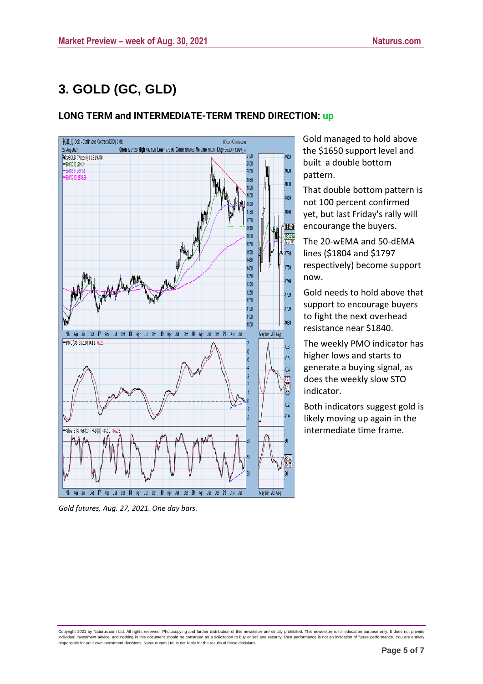# **3. GOLD (GC, GLD)**

## **LONG TERM and INTERMEDIATE-TERM TREND DIRECTION: up**



*Gold futures, Aug. 27, 2021. One day bars.*

Gold managed to hold above the \$1650 support level and built a double bottom pattern.

That double bottom pattern is not 100 percent confirmed yet, but last Friday's rally will encourange the buyers.

The 20-wEMA and 50-dEMA lines (\$1804 and \$1797 respectively) become support now.

Gold needs to hold above that support to encourage buyers to fight the next overhead resistance near \$1840.

The weekly PMO indicator has higher lows and starts to generate a buying signal, as does the weekly slow STO indicator.

Both indicators suggest gold is likely moving up again in the intermediate time frame.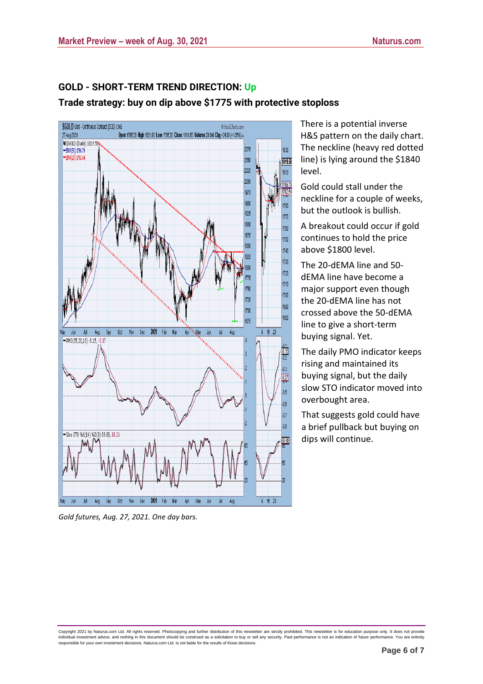

**GOLD - SHORT-TERM TREND DIRECTION: Up Trade strategy: buy on dip above \$1775 with protective stoploss**

*Gold futures, Aug. 27, 2021. One day bars.*

There is a potential inverse H&S pattern on the daily chart. The neckline (heavy red dotted line) is lying around the \$1840 level.

Gold could stall under the neckline for a couple of weeks, but the outlook is bullish.

A breakout could occur if gold continues to hold the price above \$1800 level.

The 20-dEMA line and 50 dEMA line have become a major support even though the 20-dEMA line has not crossed above the 50-dEMA line to give a short-term buying signal. Yet.

The daily PMO indicator keeps rising and maintained its buying signal, but the daily slow STO indicator moved into overbought area.

That suggests gold could have a brief pullback but buying on dips will continue.